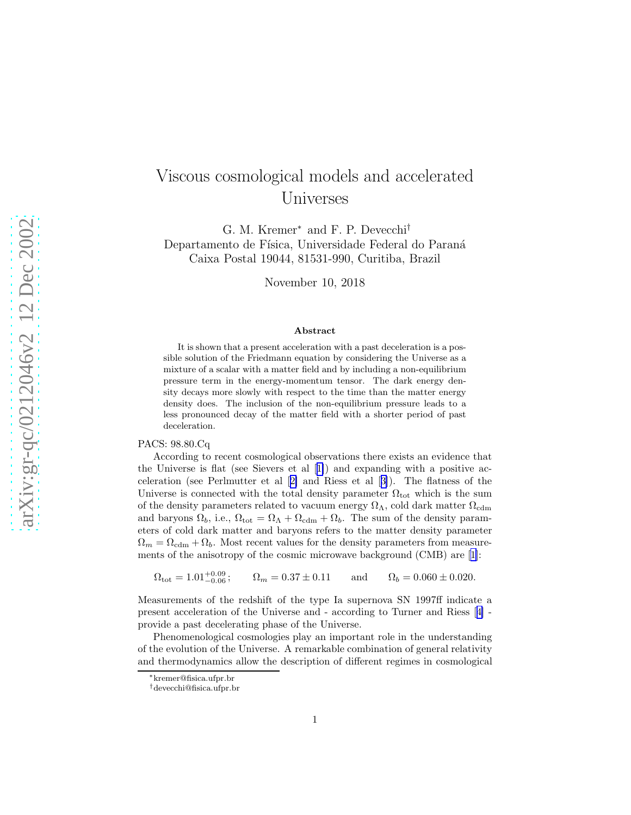## Viscous cosmological models and accelerated Universes

G. M. Kremer<sup>∗</sup> and F. P. Devecchi† Departamento de Física, Universidade Federal do Paraná Caixa Postal 19044, 81531-990, Curitiba, Brazil

November 10, 2018

## Abstract

It is shown that a present acceleration with a past deceleration is a possible solution of the Friedmann equation by considering the Universe as a mixture of a scalar with a matter field and by including a non-equilibrium pressure term in the energy-momentum tensor. The dark energy density decays more slowly with respect to the time than the matter energy density does. The inclusion of the non-equilibrium pressure leads to a less pronounced decay of the matter field with a shorter period of past deceleration.

## PACS: 98.80.Cq

According to recent cosmological observations there exists an evidence that the Universe is flat (see Sievers et al[[1\]](#page-5-0)) and expanding with a positive acceleration (see Perlmutter et al[[2\]](#page-6-0) and Riess et al[[3\]](#page-6-0)). The flatness of the Universe is connected with the total density parameter  $\Omega_{\text{tot}}$  which is the sum of the density parameters related to vacuum energy  $\Omega_{\Lambda}$ , cold dark matter  $\Omega_{\text{cdm}}$ and baryons  $\Omega_b$ , i.e.,  $\Omega_{\text{tot}} = \Omega_{\Lambda} + \Omega_{\text{cdm}} + \Omega_b$ . The sum of the density parameters of cold dark matter and baryons refers to the matter density parameter  $\Omega_m = \Omega_{\text{cdm}} + \Omega_b$ . Most recent values for the density parameters from measurements of the anisotropy of the cosmic microwave background (CMB) are[[1\]](#page-5-0):

 $\Omega_{\text{tot}} = 1.01^{+0.09}_{-0.06}$ ;  $\Omega_m = 0.37 \pm 0.11$  and  $\Omega_b = 0.060 \pm 0.020$ .

Measurements of the redshift of the type Ia supernova SN 1997ff indicate a present acceleration of the Universe and - according to Turner and Riess[[4\]](#page-6-0) provide a past decelerating phase of the Universe.

Phenomenological cosmologies play an important role in the understanding of the evolution of the Universe. A remarkable combination of general relativity and thermodynamics allow the description of different regimes in cosmological

<sup>∗</sup>kremer@fisica.ufpr.br

<sup>†</sup>devecchi@fisica.ufpr.br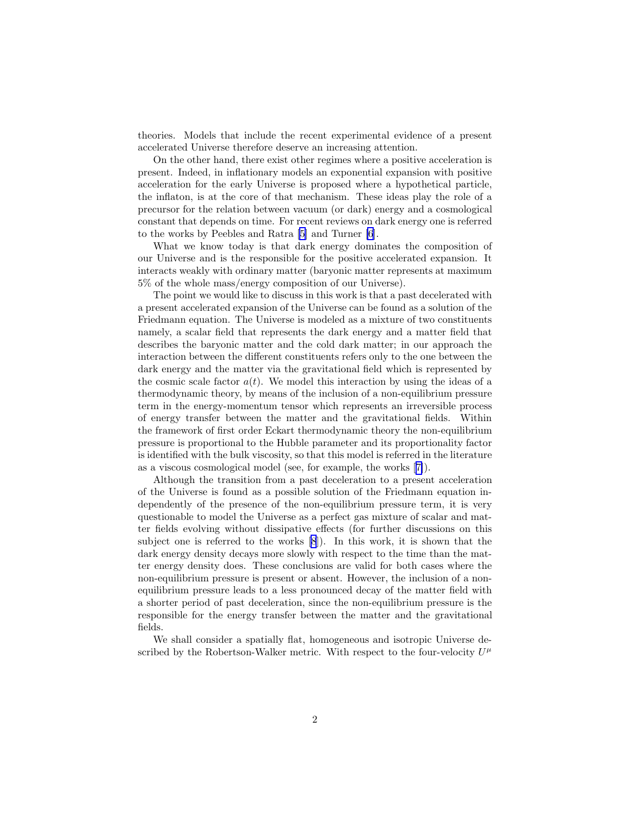theories. Models that include the recent experimental evidence of a present accelerated Universe therefore deserve an increasing attention.

On the other hand, there exist other regimes where a positive acceleration is present. Indeed, in inflationary models an exponential expansion with positive acceleration for the early Universe is proposed where a hypothetical particle, the inflaton, is at the core of that mechanism. These ideas play the role of a precursor for the relation between vacuum (or dark) energy and a cosmological constant that depends on time. For recent reviews on dark energy one is referred to the works by Peebles and Ratra [\[5](#page-6-0)] and Turner [\[6](#page-6-0)].

What we know today is that dark energy dominates the composition of our Universe and is the responsible for the positive accelerated expansion. It interacts weakly with ordinary matter (baryonic matter represents at maximum 5% of the whole mass/energy composition of our Universe).

The point we would like to discuss in this work is that a past decelerated with a present accelerated expansion of the Universe can be found as a solution of the Friedmann equation. The Universe is modeled as a mixture of two constituents namely, a scalar field that represents the dark energy and a matter field that describes the baryonic matter and the cold dark matter; in our approach the interaction between the different constituents refers only to the one between the dark energy and the matter via the gravitational field which is represented by the cosmic scale factor  $a(t)$ . We model this interaction by using the ideas of a thermodynamic theory, by means of the inclusion of a non-equilibrium pressure term in the energy-momentum tensor which represents an irreversible process of energy transfer between the matter and the gravitational fields. Within the framework of first order Eckart thermodynamic theory the non-equilibrium pressure is proportional to the Hubble parameter and its proportionality factor is identified with the bulk viscosity, so that this model is referred in the literature as a viscous cosmological model (see, for example, the works[[7\]](#page-6-0)).

Although the transition from a past deceleration to a present acceleration of the Universe is found as a possible solution of the Friedmann equation independently of the presence of the non-equilibrium pressure term, it is very questionable to model the Universe as a perfect gas mixture of scalar and matter fields evolving without dissipative effects (for further discussions on this subject one is referred to the works [\[8](#page-6-0)]). In this work, it is shown that the dark energy density decays more slowly with respect to the time than the matter energy density does. These conclusions are valid for both cases where the non-equilibrium pressure is present or absent. However, the inclusion of a nonequilibrium pressure leads to a less pronounced decay of the matter field with a shorter period of past deceleration, since the non-equilibrium pressure is the responsible for the energy transfer between the matter and the gravitational fields.

We shall consider a spatially flat, homogeneous and isotropic Universe described by the Robertson-Walker metric. With respect to the four-velocity  $U^{\mu}$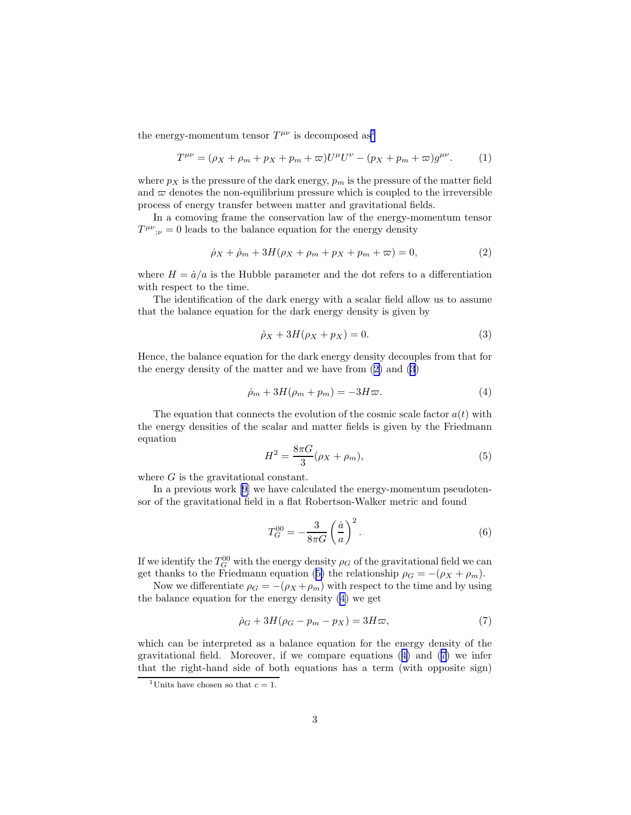<span id="page-2-0"></span>the energy-momentum tensor  $T^{\mu\nu}$  is decomposed as<sup>1</sup>

$$
T^{\mu\nu} = (\rho_X + \rho_m + p_X + p_m + \varpi)U^{\mu}U^{\nu} - (p_X + p_m + \varpi)g^{\mu\nu}.
$$
 (1)

where  $p_X$  is the pressure of the dark energy,  $p_m$  is the pressure of the matter field and  $\varpi$  denotes the non-equilibrium pressure which is coupled to the irreversible process of energy transfer between matter and gravitational fields.

In a comoving frame the conservation law of the energy-momentum tensor  $T^{\mu\nu}{}_{;\nu} = 0$  leads to the balance equation for the energy density

$$
\dot{\rho}_X + \dot{\rho}_m + 3H(\rho_X + \rho_m + p_X + p_m + \varpi) = 0, \tag{2}
$$

where  $H = \dot{a}/a$  is the Hubble parameter and the dot refers to a differentiation with respect to the time.

The identification of the dark energy with a scalar field allow us to assume that the balance equation for the dark energy density is given by

$$
\dot{\rho}_X + 3H(\rho_X + p_X) = 0. \tag{3}
$$

Hence, the balance equation for the dark energy density decouples from that for the energy density of the matter and we have from (2) and (3)

$$
\dot{\rho}_m + 3H(\rho_m + p_m) = -3H\varpi. \tag{4}
$$

The equation that connects the evolution of the cosmic scale factor  $a(t)$  with the energy densities of the scalar and matter fields is given by the Friedmann equation

$$
H^2 = \frac{8\pi G}{3} (\rho_X + \rho_m),\tag{5}
$$

where G is the gravitational constant.

In a previous work [\[9](#page-6-0)] we have calculated the energy-momentum pseudotensor of the gravitational field in a flat Robertson-Walker metric and found

$$
T_G^{00} = -\frac{3}{8\pi G} \left(\frac{\dot{a}}{a}\right)^2.
$$
 (6)

If we identify the  $T_G^{00}$  with the energy density  $\rho_G$  of the gravitational field we can get thanks to the Friedmann equation (5) the relationship  $\rho_G = -(\rho_X + \rho_m)$ .

Now we differentiate  $\rho_G = -(\rho_X + \rho_m)$  with respect to the time and by using the balance equation for the energy density (4) we get

$$
\dot{\rho}_G + 3H(\rho_G - p_m - p_X) = 3H\varpi,\tag{7}
$$

which can be interpreted as a balance equation for the energy density of the gravitational field. Moreover, if we compare equations (4) and (7) we infer that the right-hand side of both equations has a term (with opposite sign)

<sup>&</sup>lt;sup>1</sup>Units have chosen so that  $c = 1$ .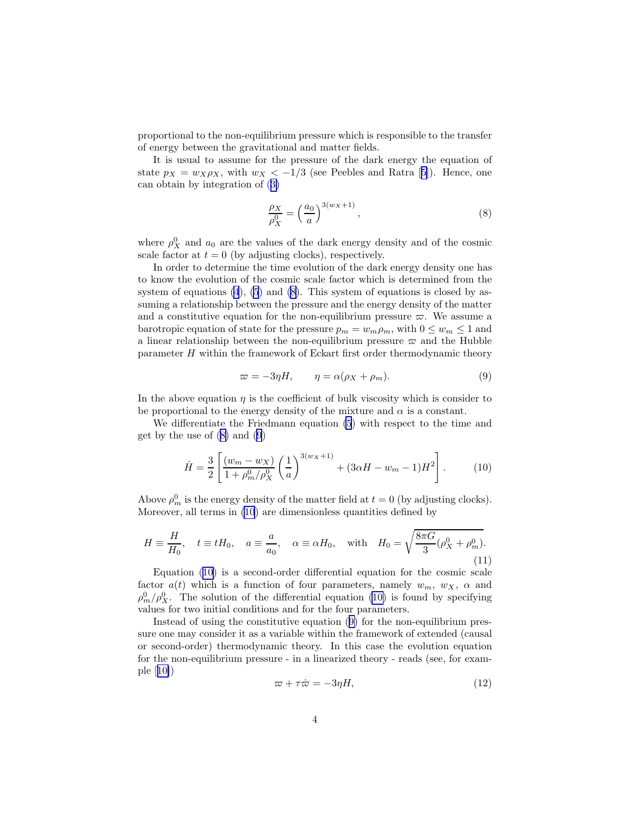<span id="page-3-0"></span>proportional to the non-equilibrium pressure which is responsible to the transfer of energy between the gravitational and matter fields.

It is usual to assume for the pressure of the dark energy the equation of state $p_X = w_X \rho_X$ , with  $w_X < -1/3$  (see Peebles and Ratra [[5\]](#page-6-0)). Hence, one can obtain by integration of([3\)](#page-2-0)

$$
\frac{\rho_X}{\rho_X^0} = \left(\frac{a_0}{a}\right)^{3(w_X+1)},\tag{8}
$$

where  $\rho_X^0$  and  $a_0$  are the values of the dark energy density and of the cosmic scale factor at  $t = 0$  (by adjusting clocks), respectively.

In order to determine the time evolution of the dark energy density one has to know the evolution of the cosmic scale factor which is determined from the system of equations  $(4)$ ,  $(5)$  and  $(8)$ . This system of equations is closed by assuming a relationship between the pressure and the energy density of the matter and a constitutive equation for the non-equilibrium pressure  $\varpi$ . We assume a barotropic equation of state for the pressure  $p_m = w_m \rho_m$ , with  $0 \le w_m \le 1$  and a linear relationship between the non-equilibrium pressure  $\varpi$  and the Hubble parameter H within the framework of Eckart first order thermodynamic theory

$$
\varpi = -3\eta H, \qquad \eta = \alpha(\rho_X + \rho_m). \tag{9}
$$

In the above equation  $\eta$  is the coefficient of bulk viscosity which is consider to be proportional to the energy density of the mixture and  $\alpha$  is a constant.

We differentiate the Friedmann equation [\(5](#page-2-0)) with respect to the time and get by the use of (8) and (9)

$$
\dot{H} = \frac{3}{2} \left[ \frac{(w_m - w_X)}{1 + \rho_m^0 / \rho_X^0} \left( \frac{1}{a} \right)^{3(w_X + 1)} + (3\alpha H - w_m - 1)H^2 \right].
$$
 (10)

Above  $\rho_m^0$  is the energy density of the matter field at  $t = 0$  (by adjusting clocks). Moreover, all terms in (10) are dimensionless quantities defined by

$$
H \equiv \frac{H}{H_0}, \quad t \equiv tH_0, \quad a \equiv \frac{a}{a_0}, \quad \alpha \equiv \alpha H_0, \quad \text{with} \quad H_0 = \sqrt{\frac{8\pi G}{3}(\rho_X^0 + \rho_m^0)}.
$$
\n(11)

Equation (10) is a second-order differential equation for the cosmic scale factor  $a(t)$  which is a function of four parameters, namely  $w_m$ ,  $w_X$ ,  $\alpha$  and  $\rho_m^0/\rho_X^0$ . The solution of the differential equation (10) is found by specifying values for two initial conditions and for the four parameters.

Instead of using the constitutive equation (9) for the non-equilibrium pressure one may consider it as a variable within the framework of extended (causal or second-order) thermodynamic theory. In this case the evolution equation for the non-equilibrium pressure - in a linearized theory - reads (see, for example[[10\]](#page-6-0))

$$
\varpi + \tau \dot{\varpi} = -3\eta H,\tag{12}
$$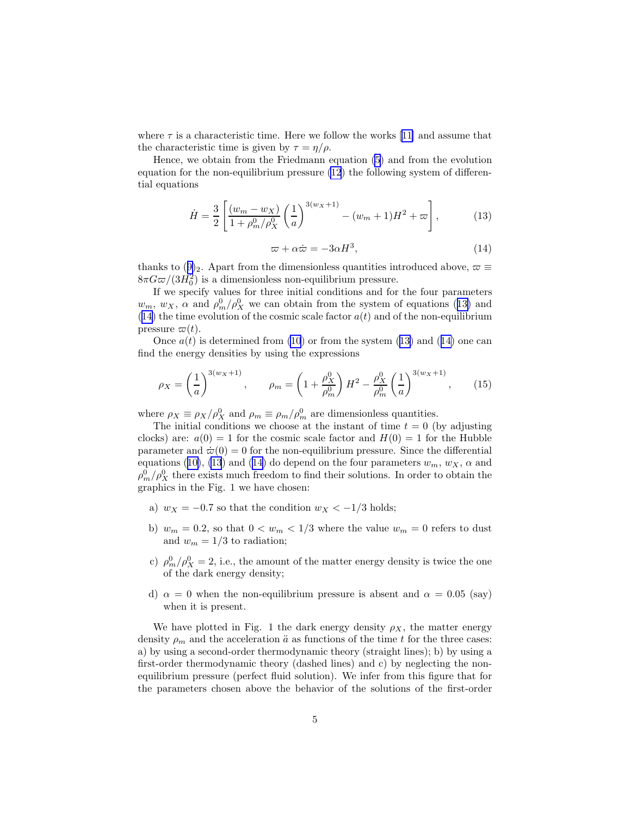where  $\tau$  is a characteristic time. Here we follow the works [\[11](#page-6-0)] and assume that the characteristic time is given by  $\tau = \eta/\rho$ .

Hence, we obtain from the Friedmann equation [\(5](#page-2-0)) and from the evolution equation for the non-equilibrium pressure [\(12](#page-3-0)) the following system of differential equations

$$
\dot{H} = \frac{3}{2} \left[ \frac{(w_m - w_X)}{1 + \rho_m^0 / \rho_X^0} \left( \frac{1}{a} \right)^{3(w_X + 1)} - (w_m + 1)H^2 + \varpi \right],\tag{13}
$$

$$
\varpi + \alpha \dot{\varpi} = -3\alpha H^3,\tag{14}
$$

thanksto ([9\)](#page-3-0)<sub>2</sub>. Apart from the dimensionless quantities introduced above,  $\varpi \equiv$  $8\pi G\varpi/(3H_0^2)$  is a dimensionless non-equilibrium pressure.

If we specify values for three initial conditions and for the four parameters  $w_m$ ,  $w_X$ ,  $\alpha$  and  $\rho_m^0/\rho_X^0$  we can obtain from the system of equations (13) and (14) the time evolution of the cosmic scale factor  $a(t)$  and of the non-equilibrium pressure  $\varpi(t)$ .

Once  $a(t)$  is determined from [\(10](#page-3-0)) or from the system (13) and (14) one can find the energy densities by using the expressions

$$
\rho_X = \left(\frac{1}{a}\right)^{3(w_X+1)}, \qquad \rho_m = \left(1 + \frac{\rho_X^0}{\rho_m^0}\right)H^2 - \frac{\rho_X^0}{\rho_m^0}\left(\frac{1}{a}\right)^{3(w_X+1)},\tag{15}
$$

where  $\rho_X \equiv \rho_X / \rho_X^0$  and  $\rho_m \equiv \rho_m / \rho_m^0$  are dimensionless quantities.

The initial conditions we choose at the instant of time  $t = 0$  (by adjusting clocks) are:  $a(0) = 1$  for the cosmic scale factor and  $H(0) = 1$  for the Hubble parameter and  $\dot{\varpi}(0) = 0$  for the non-equilibrium pressure. Since the differential equations([10\)](#page-3-0), (13) and (14) do depend on the four parameters  $w_m$ ,  $w_X$ ,  $\alpha$  and  $\rho_m^0/\rho_X^0$  there exists much freedom to find their solutions. In order to obtain the graphics in the Fig. 1 we have chosen:

- a)  $w_X = -0.7$  so that the condition  $w_X < -1/3$  holds;
- b)  $w_m = 0.2$ , so that  $0 < w_m < 1/3$  where the value  $w_m = 0$  refers to dust and  $w_m = 1/3$  to radiation;
- c)  $\rho_m^0/\rho_X^0 = 2$ , i.e., the amount of the matter energy density is twice the one of the dark energy density;
- d)  $\alpha = 0$  when the non-equilibrium pressure is absent and  $\alpha = 0.05$  (say) when it is present.

We have plotted in Fig. 1 the dark energy density  $\rho_X$ , the matter energy density  $\rho_m$  and the acceleration  $\ddot{a}$  as functions of the time t for the three cases: a) by using a second-order thermodynamic theory (straight lines); b) by using a first-order thermodynamic theory (dashed lines) and c) by neglecting the nonequilibrium pressure (perfect fluid solution). We infer from this figure that for the parameters chosen above the behavior of the solutions of the first-order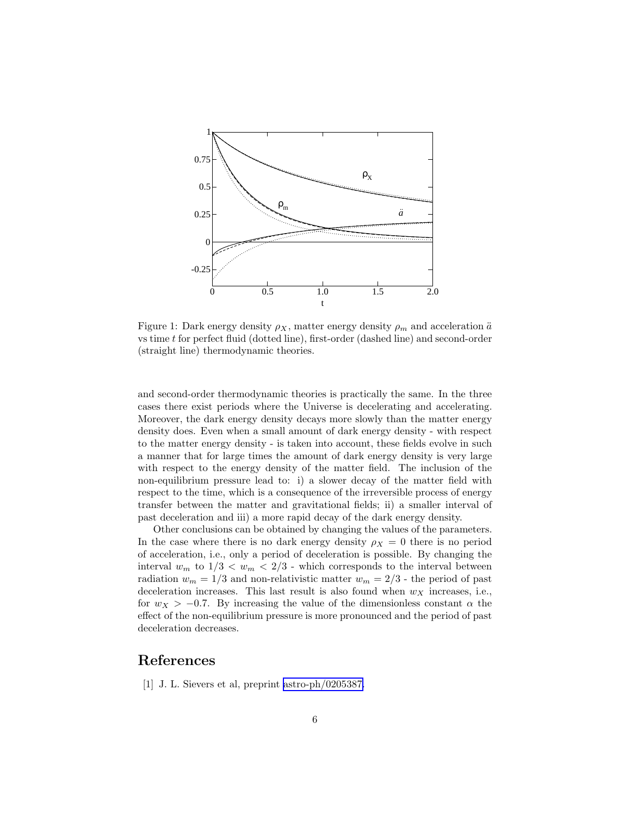<span id="page-5-0"></span>

Figure 1: Dark energy density  $\rho_X$ , matter energy density  $\rho_m$  and acceleration  $\ddot{a}$ vs time t for perfect fluid (dotted line), first-order (dashed line) and second-order (straight line) thermodynamic theories.

and second-order thermodynamic theories is practically the same. In the three cases there exist periods where the Universe is decelerating and accelerating. Moreover, the dark energy density decays more slowly than the matter energy density does. Even when a small amount of dark energy density - with respect to the matter energy density - is taken into account, these fields evolve in such a manner that for large times the amount of dark energy density is very large with respect to the energy density of the matter field. The inclusion of the non-equilibrium pressure lead to: i) a slower decay of the matter field with respect to the time, which is a consequence of the irreversible process of energy transfer between the matter and gravitational fields; ii) a smaller interval of past deceleration and iii) a more rapid decay of the dark energy density.

Other conclusions can be obtained by changing the values of the parameters. In the case where there is no dark energy density  $\rho_X = 0$  there is no period of acceleration, i.e., only a period of deceleration is possible. By changing the interval  $w_m$  to  $1/3 < w_m < 2/3$  - which corresponds to the interval between radiation  $w_m = 1/3$  and non-relativistic matter  $w_m = 2/3$  - the period of past deceleration increases. This last result is also found when  $w<sub>X</sub>$  increases, i.e., for  $w_X > -0.7$ . By increasing the value of the dimensionless constant  $\alpha$  the effect of the non-equilibrium pressure is more pronounced and the period of past deceleration decreases.

## References

[1] J. L. Sievers et al, preprint [astro-ph/0205387.](http://arxiv.org/abs/astro-ph/0205387)